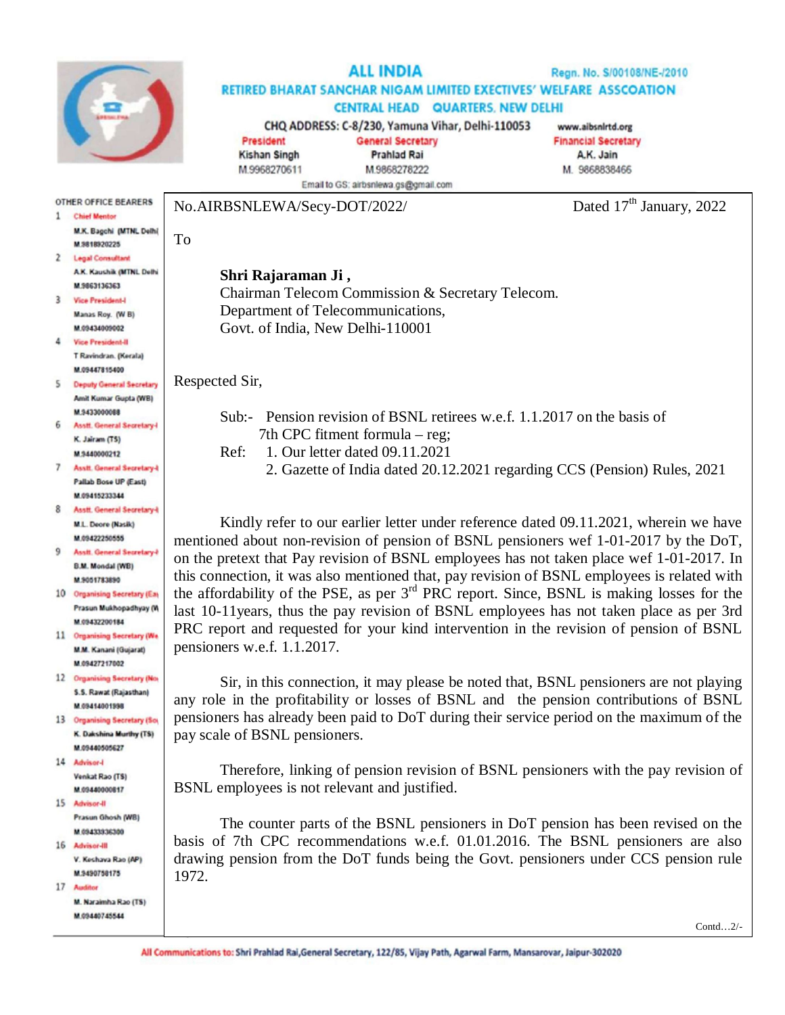

**OTHER OFFICE BEARERS** 1 Chief Mentor

> M.K. Bagchi (MTNL Delhi) M 9818920225

## **ALL INDIA** Regn. No. S/00108/NE-/2010 RETIRED BHARAT SANCHAR NIGAM LIMITED EXECTIVES' WELFARE ASSCOATION **CENTRAL HEAD QUARTERS, NEW DELHI** CHQ ADDRESS: C-8/230, Yamuna Vihar, Delhi-110053 www.aibsnirtd.org **General Secretary** President **Financial Secretary**

**Kishan Singh** M.9968270611

M.9868278222 Email to GS; airbsnlewa.gs@gmail.com

No.AIRBSNLEWA/Secy-DOT/2022/ Dated 17<sup>th</sup> January, 2022

A.K. Jain

M. 9868838466

## **Shri Rajaraman Ji ,**

Chairman Telecom Commission & Secretary Telecom. Department of Telecommunications, Govt. of India, New Delhi-110001

**Prahlad Rai** 

Respected Sir,

To

Sub:- Pension revision of BSNL retirees w.e.f. 1.1.2017 on the basis of 7th CPC fitment formula – reg;

Ref: 1. Our letter dated 09.11.2021

2. Gazette of India dated 20.12.2021 regarding CCS (Pension) Rules, 2021

Kindly refer to our earlier letter under reference dated 09.11.2021, wherein we have mentioned about non-revision of pension of BSNL pensioners wef 1-01-2017 by the DoT, on the pretext that Pay revision of BSNL employees has not taken place wef 1-01-2017. In this connection, it was also mentioned that, pay revision of BSNL employees is related with the affordability of the PSE, as per  $3<sup>rd</sup>$  PRC report. Since, BSNL is making losses for the last 10-11years, thus the pay revision of BSNL employees has not taken place as per 3rd PRC report and requested for your kind intervention in the revision of pension of BSNL pensioners w.e.f. 1.1.2017.

Sir, in this connection, it may please be noted that, BSNL pensioners are not playing any role in the profitability or losses of BSNL and the pension contributions of BSNL pensioners has already been paid to DoT during their service period on the maximum of the pay scale of BSNL pensioners.

Therefore, linking of pension revision of BSNL pensioners with the pay revision of BSNL employees is not relevant and justified.

The counter parts of the BSNL pensioners in DoT pension has been revised on the basis of 7th CPC recommendations w.e.f. 01.01.2016. The BSNL pensioners are also drawing pension from the DoT funds being the Govt. pensioners under CCS pension rule 1972.

|                | 2 Legal Consultant                |
|----------------|-----------------------------------|
|                | A.K. Kaushik (MTNL Delhi          |
|                | M.9863136363                      |
| 3              | <b>Vice President-I</b>           |
|                | Manas Roy. (W B)                  |
|                | M.09434009002                     |
| 4              | <b>Vice President-II</b>          |
|                | T Ravindran. (Kerala)             |
|                | M.09447815400                     |
| $\mathsf{S}$   | <b>Deputy General Secretary</b>   |
|                | Amit Kumar Gupta (WB)             |
|                | M.9433000088                      |
|                | 6 Asstt. General Secretary-       |
|                | K. Jairam (TS)                    |
|                | M.9440000212                      |
| $\overline{z}$ | <b>Asstt. General Secretary-I</b> |
|                | Pallab Bose UP (East)             |
|                | M 09415233344                     |
| 8.             | <b>Asstt. General Secretary-I</b> |
|                | M.L. Deore (Nasik)                |

- M.09422250555 9 **Assit. General Secretary B.M. Mondal (WB)**
- M.9051783890 10 Organising Secretary (Eas Prasun Mukhopadhyay (W M 09432200184
- 11 Organising Secretary (We M.M. Kanani (Gujarat) M.09427217002
- 12 Organising Secretary (No. S.S. Rawat (Rajasthan) M 09414001998
- 13 Organising Secretary (So K. Dakshina Murthy (TS) M.09440505627
- 14 Advisor-I **Venkat Rao (TS)** M 09440000817
- 15 Advisor-II Prasun Ghosh (WB)
- M GRASSPRESON 16 Advisor-III V. Keshava Rao (AP)
- M.9490758175 17 Auditor

M. Naraimha Rao (TS) M 09440745544